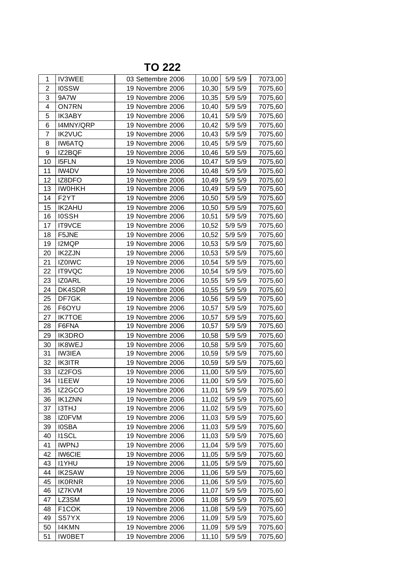| 1  | IV3WEE            | 03 Settembre 2006 | 10,00 | 5/9 5/9 | 7073,00 |
|----|-------------------|-------------------|-------|---------|---------|
| 2  | <b>IOSSW</b>      | 19 Novembre 2006  | 10,30 | 5/9 5/9 | 7075,60 |
| 3  | <b>9A7W</b>       | 19 Novembre 2006  | 10,35 | 5/9 5/9 | 7075,60 |
| 4  | <b>ON7RN</b>      | 19 Novembre 2006  | 10,40 | 5/9 5/9 | 7075,60 |
| 5  | <b>IK3ABY</b>     | 19 Novembre 2006  | 10,41 | 5/9 5/9 | 7075,60 |
| 6  | I4MNY/QRP         | 19 Novembre 2006  | 10,42 | 5/9 5/9 | 7075,60 |
| 7  | <b>IK2VUC</b>     | 19 Novembre 2006  | 10,43 | 5/9 5/9 | 7075,60 |
| 8  | <b>IW6ATQ</b>     | 19 Novembre 2006  | 10,45 | 5/9 5/9 | 7075,60 |
| 9  | IZ2BQF            | 19 Novembre 2006  | 10,46 | 5/9 5/9 | 7075,60 |
| 10 | <b>I5FLN</b>      | 19 Novembre 2006  | 10,47 | 5/9 5/9 | 7075,60 |
| 11 | IW4DV             | 19 Novembre 2006  | 10,48 | 5/9 5/9 | 7075,60 |
| 12 | IZ8DFO            | 19 Novembre 2006  | 10,49 | 5/9 5/9 | 7075,60 |
| 13 | <b>IWOHKH</b>     | 19 Novembre 2006  | 10,49 | 5/9 5/9 | 7075,60 |
| 14 | F <sub>2</sub> YT | 19 Novembre 2006  | 10,50 | 5/9 5/9 | 7075,60 |
| 15 | <b>IK2AHU</b>     | 19 Novembre 2006  | 10,50 | 5/9 5/9 | 7075,60 |
| 16 | <b>IOSSH</b>      | 19 Novembre 2006  | 10,51 | 5/9 5/9 | 7075,60 |
| 17 | IT9VCE            | 19 Novembre 2006  | 10,52 | 5/9 5/9 | 7075,60 |
| 18 | F5JNE             | 19 Novembre 2006  | 10,52 | 5/9 5/9 | 7075,60 |
| 19 | <b>I2MQP</b>      | 19 Novembre 2006  | 10,53 | 5/9 5/9 | 7075,60 |
| 20 | <b>IK2ZJN</b>     | 19 Novembre 2006  | 10,53 | 5/9 5/9 | 7075,60 |
| 21 | <b>IZ0IWC</b>     | 19 Novembre 2006  | 10,54 | 5/9 5/9 | 7075,60 |
| 22 | IT9VQC            | 19 Novembre 2006  | 10,54 | 5/9 5/9 | 7075,60 |
| 23 | IZ0ARL            | 19 Novembre 2006  | 10,55 | 5/9 5/9 | 7075,60 |
| 24 | DK4SDR            | 19 Novembre 2006  | 10,55 | 5/9 5/9 | 7075,60 |
| 25 | DF7GK             | 19 Novembre 2006  | 10,56 | 5/9 5/9 | 7075,60 |
| 26 | F6OYU             | 19 Novembre 2006  | 10,57 | 5/9 5/9 | 7075,60 |
| 27 | <b>IK7TOE</b>     | 19 Novembre 2006  | 10,57 | 5/9 5/9 | 7075,60 |
| 28 | F6FNA             | 19 Novembre 2006  | 10,57 | 5/9 5/9 | 7075,60 |
| 29 | IK3DRO            | 19 Novembre 2006  | 10,58 | 5/9 5/9 | 7075,60 |
| 30 | IK8WEJ            | 19 Novembre 2006  | 10,58 | 5/9 5/9 | 7075,60 |
| 31 | <b>IW3IEA</b>     | 19 Novembre 2006  | 10,59 | 5/9 5/9 | 7075,60 |
| 32 | <b>IK3ITR</b>     | 19 Novembre 2006  | 10,59 | 5/9 5/9 | 7075,60 |
| 33 | IZ2FOS            | 19 Novembre 2006  | 11,00 | 5/9 5/9 | 7075,60 |
| 34 | <b>I1EEW</b>      | 19 Novembre 2006  | 11,00 | 5/9 5/9 | 7075,60 |
| 35 | IZ2GCO            | 19 Novembre 2006  | 11,01 | 5/9 5/9 | 7075,60 |
| 36 | <b>IK1ZNN</b>     | 19 Novembre 2006  | 11,02 | 5/9 5/9 | 7075,60 |
| 37 | <b>I3THJ</b>      | 19 Novembre 2006  | 11,02 | 5/9 5/9 | 7075,60 |
| 38 | <b>IZ0FVM</b>     | 19 Novembre 2006  | 11,03 | 5/9 5/9 | 7075,60 |
| 39 | <b>IOSBA</b>      | 19 Novembre 2006  | 11,03 | 5/9 5/9 | 7075,60 |
| 40 | <b>I1SCL</b>      | 19 Novembre 2006  | 11,03 | 5/9 5/9 | 7075,60 |
| 41 | <b>IWPNJ</b>      | 19 Novembre 2006  | 11,04 | 5/9 5/9 | 7075,60 |
| 42 | <b>IW6CIE</b>     | 19 Novembre 2006  | 11,05 | 5/9 5/9 | 7075,60 |
| 43 | <b>I1YHU</b>      | 19 Novembre 2006  | 11,05 | 5/9 5/9 | 7075,60 |
| 44 | <b>IK2SAW</b>     | 19 Novembre 2006  | 11,06 | 5/9 5/9 | 7075,60 |
| 45 | <b>IK0RNR</b>     | 19 Novembre 2006  | 11,06 | 5/9 5/9 | 7075,60 |
| 46 | IZ7KVM            | 19 Novembre 2006  | 11,07 | 5/9 5/9 | 7075,60 |
| 47 | LZ3SM             | 19 Novembre 2006  | 11,08 | 5/9 5/9 | 7075,60 |
| 48 | F1COK             | 19 Novembre 2006  | 11,08 | 5/9 5/9 | 7075,60 |
| 49 | S57YX             | 19 Novembre 2006  | 11,09 | 5/9 5/9 | 7075,60 |
| 50 | <b>I4KMN</b>      | 19 Novembre 2006  | 11,09 | 5/9 5/9 | 7075,60 |
| 51 | <b>IW0BET</b>     | 19 Novembre 2006  | 11,10 | 5/9 5/9 | 7075,60 |

**TO 222**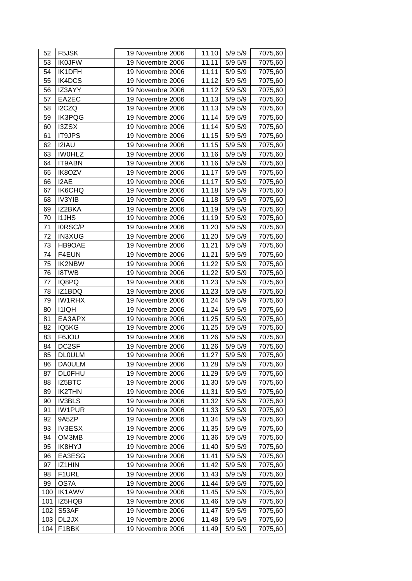| 52  | F5JSK         | 19 Novembre 2006 | 11,10 | 5/9 5/9 | 7075,60 |
|-----|---------------|------------------|-------|---------|---------|
| 53  | <b>IK0JFW</b> | 19 Novembre 2006 | 11,11 | 5/9 5/9 | 7075,60 |
| 54  | IK1DFH        | 19 Novembre 2006 | 11,11 | 5/9 5/9 | 7075,60 |
| 55  | IK4DCS        | 19 Novembre 2006 | 11,12 | 5/9 5/9 | 7075,60 |
| 56  | IZ3AYY        | 19 Novembre 2006 | 11,12 | 5/9 5/9 | 7075,60 |
| 57  | EA2EC         | 19 Novembre 2006 | 11,13 | 5/9 5/9 | 7075,60 |
| 58  | I2CZQ         | 19 Novembre 2006 | 11,13 | 5/9 5/9 | 7075,60 |
| 59  | IK3PQG        | 19 Novembre 2006 | 11,14 | 5/9 5/9 | 7075,60 |
| 60  | I3ZSX         | 19 Novembre 2006 | 11,14 | 5/9 5/9 | 7075,60 |
| 61  | IT9JPS        | 19 Novembre 2006 | 11,15 | 5/9 5/9 | 7075,60 |
| 62  | <b>I2IAU</b>  | 19 Novembre 2006 | 11,15 | 5/9 5/9 | 7075,60 |
| 63  | <b>IWOHLZ</b> | 19 Novembre 2006 | 11,16 | 5/9 5/9 | 7075,60 |
| 64  | IT9ABN        | 19 Novembre 2006 | 11,16 | 5/9 5/9 | 7075,60 |
| 65  | IK8OZV        | 19 Novembre 2006 | 11,17 | 5/9 5/9 | 7075,60 |
| 66  | I2AE          | 19 Novembre 2006 | 11,17 | 5/9 5/9 | 7075,60 |
| 67  | IK6CHQ        | 19 Novembre 2006 | 11,18 | 5/9 5/9 | 7075,60 |
| 68  | <b>IV3YIB</b> | 19 Novembre 2006 | 11,18 | 5/9 5/9 | 7075,60 |
| 69  | IZ2BKA        | 19 Novembre 2006 | 11,19 | 5/9 5/9 | 7075,60 |
| 70  | <b>I1JHS</b>  | 19 Novembre 2006 | 11,19 | 5/9 5/9 | 7075,60 |
| 71  | I0RSC/P       | 19 Novembre 2006 | 11,20 | 5/9 5/9 | 7075,60 |
| 72  | <b>IN3XUG</b> | 19 Novembre 2006 | 11,20 | 5/9 5/9 | 7075,60 |
| 73  | HB9OAE        | 19 Novembre 2006 | 11,21 | 5/9 5/9 | 7075,60 |
| 74  | F4EUN         | 19 Novembre 2006 | 11,21 | 5/9 5/9 | 7075,60 |
| 75  | IK2NBW        | 19 Novembre 2006 | 11,22 | 5/9 5/9 | 7075,60 |
| 76  | <b>I8TWB</b>  | 19 Novembre 2006 | 11,22 | 5/9 5/9 | 7075,60 |
| 77  | IQ8PQ         | 19 Novembre 2006 | 11,23 | 5/9 5/9 | 7075,60 |
| 78  | IZ1BDQ        | 19 Novembre 2006 | 11,23 | 5/9 5/9 | 7075,60 |
| 79  | <b>IW1RHX</b> | 19 Novembre 2006 | 11,24 | 5/9 5/9 | 7075,60 |
| 80  | <b>I1IQH</b>  | 19 Novembre 2006 | 11,24 | 5/9 5/9 | 7075,60 |
| 81  | EA3APX        | 19 Novembre 2006 | 11,25 | 5/9 5/9 | 7075,60 |
| 82  | IQ5KG         | 19 Novembre 2006 | 11,25 | 5/9 5/9 | 7075,60 |
| 83  | F6JOU         | 19 Novembre 2006 | 11,26 | 5/9 5/9 | 7075,60 |
| 84  | DC2SF         | 19 Novembre 2006 | 11,26 | 5/9 5/9 | 7075,60 |
| 85  | <b>DLOULM</b> | 19 Novembre 2006 | 11,27 | 5/9 5/9 | 7075,60 |
| 86  | <b>DA0ULM</b> | 19 Novembre 2006 | 11,28 | 5/9 5/9 | 7075,60 |
| 87  | <b>DLOFHU</b> | 19 Novembre 2006 | 11,29 | 5/9 5/9 | 7075,60 |
| 88  | IZ5BTC        | 19 Novembre 2006 | 11,30 | 5/9 5/9 | 7075,60 |
| 89  | <b>IK2THN</b> | 19 Novembre 2006 | 11,31 | 5/9 5/9 | 7075,60 |
| 90  | <b>IV3BLS</b> | 19 Novembre 2006 | 11,32 | 5/9 5/9 | 7075,60 |
| 91  | <b>IW1PUR</b> | 19 Novembre 2006 | 11,33 | 5/9 5/9 | 7075,60 |
| 92  | 9A5ZP         | 19 Novembre 2006 | 11,34 | 5/9 5/9 | 7075,60 |
| 93  | <b>IV3ESX</b> | 19 Novembre 2006 | 11,35 | 5/9 5/9 | 7075,60 |
| 94  | OM3MB         | 19 Novembre 2006 | 11,36 | 5/9 5/9 | 7075,60 |
| 95  | IK8HYJ        | 19 Novembre 2006 | 11,40 | 5/9 5/9 | 7075,60 |
| 96  | EA3ESG        | 19 Novembre 2006 | 11,41 | 5/9 5/9 | 7075,60 |
| 97  | IZ1HIN        | 19 Novembre 2006 | 11,42 | 5/9 5/9 | 7075,60 |
| 98  | F1URL         | 19 Novembre 2006 | 11,43 | 5/9 5/9 | 7075,60 |
| 99  | OS7A          | 19 Novembre 2006 | 11,44 | 5/9 5/9 | 7075,60 |
| 100 | <b>IK1AWV</b> | 19 Novembre 2006 | 11,45 | 5/9 5/9 | 7075,60 |
| 101 | IZ5HQB        | 19 Novembre 2006 | 11,46 | 5/9 5/9 | 7075,60 |
| 102 | S53AF         | 19 Novembre 2006 | 11,47 | 5/9 5/9 | 7075,60 |
| 103 | DL2JX         | 19 Novembre 2006 | 11,48 | 5/9 5/9 | 7075,60 |
| 104 | F1BBK         | 19 Novembre 2006 | 11,49 | 5/9 5/9 | 7075,60 |
|     |               |                  |       |         |         |